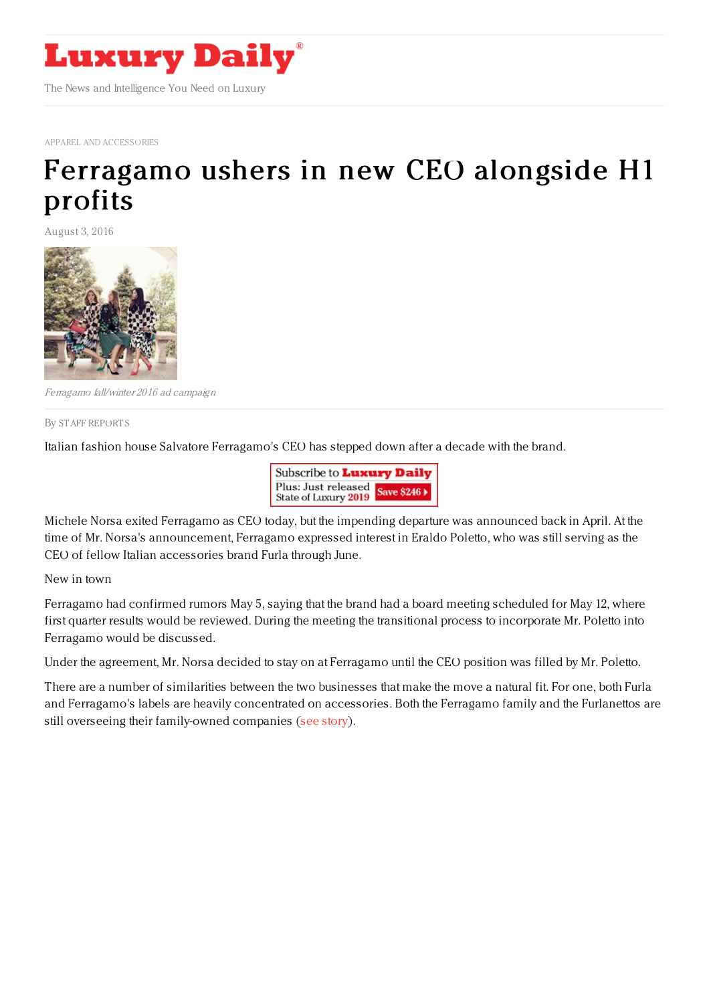

APPAREL AND [ACCESSORIES](http://www.luxurydaily.com/category/sectors/apparel-and-accessories/)

## [Ferragamo](https://www.luxurydaily.com/ferragamo-ushers-in-new-ceo-alongside-h1-profits/) ushers in new CEO alongside H1 profits

August 3, 2016



Ferragamo fall/winter 2016 ad campaign

By STAFF [REPORT](file:///author/staff-reports) S

Italian fashion house Salvatore Ferragamo's CEO has stepped down after a decade with the brand.



Michele Norsa exited Ferragamo as CEO today, but the impending departure was announced back in April. At the time of Mr. Norsa's announcement, Ferragamo expressed interest in Eraldo Poletto, who was still serving as the CEO of fellow Italian accessories brand Furla through June.

New in town

Ferragamo had confirmed rumors May 5, saying that the brand had a board meeting scheduled for May 12, where first quarter results would be reviewed. During the meeting the transitional process to incorporate Mr. Poletto into Ferragamo would be discussed.

Under the agreement, Mr. Norsa decided to stay on at Ferragamo until the CEO position was filled by Mr. Poletto.

There are a number of similarities between the two businesses that make the move a natural fit. For one, both Furla and Ferragamo's labels are heavily concentrated on accessories. Both the Ferragamo family and the Furlanettos are still overseeing their family-owned companies (see [story](https://www.luxurydaily.com/ferragamo-confirms-interest-in-furlas-departing-ceo/)).